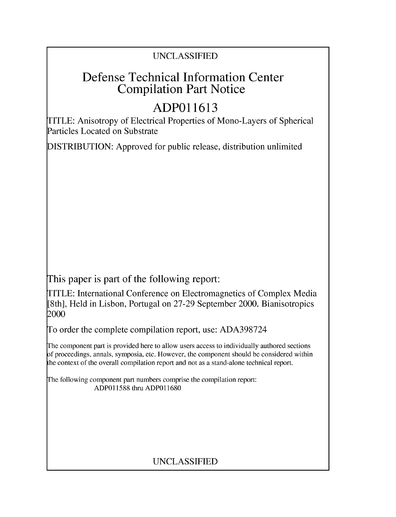## UNCLASSIFIED

# Defense Technical Information Center Compilation Part Notice

# **ADPO 11613**

TITLE: Anisotropy of Electrical Properties of Mono-Layers of Spherical Particles Located on Substrate

DISTRIBUTION: Approved for public release, distribution unlimited

This paper is part of the following report:

TITLE: International Conference on Electromagnetics of Complex Media [8th], Held in Lisbon, Portugal on 27-29 September 2000. Bianisotropics 2000

To order the complete compilation report, use: ADA398724

The component part is provided here to allow users access to individually authored sections f proceedings, annals, symposia, etc. However, the component should be considered within [he context of the overall compilation report and not as a stand-alone technical report.

The following component part numbers comprise the compilation report: ADP011588 thru ADP011680

# UNCLASSIFIED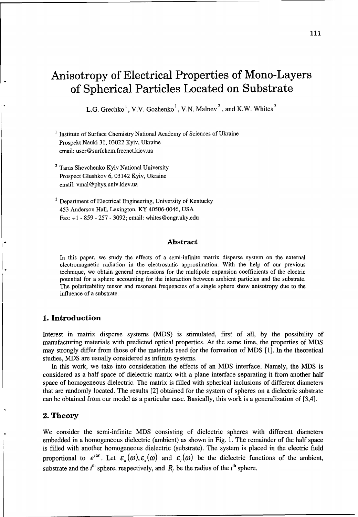# Anisotropy of Electrical Properties of Mono-Layers of Spherical Particles Located on Substrate

L.G. Grechko<sup>1</sup>, V.V. Gozhenko<sup>1</sup>, V.N. Malnev<sup>2</sup>, and K.W. Whites<sup>3</sup>

<sup>1</sup> Institute of Surface Chemistry National Academy of Sciences of Ukraine Prospekt Nauki 31, 03022 Kyiv, Ukraine email: user@ surfchem.freenet.kiev.ua

- <sup>2</sup> Taras Shevchenko Kyiv National University Prospect Glushkov 6, 03142 Kyiv, Ukraine email: vmal@phys.univ.kiev.ua
- <sup>3</sup> Department of Electrical Engineering, University of Kentucky 453 Anderson Hall, Lexington, KY 40506-0046, USA Fax: +1 - 859 - 257 - 3092; email: whites@engr.uky.edu

#### Abstract

In this paper, we study the effects of a semi-infinite matrix disperse system on the external electromagnetic radiation in the electrostatic approximation. With the help of our previous technique, we obtain general expressions for the multipole expansion coefficients of the electric potential for a sphere accounting for the interaction between ambient particles and the substrate. The polarizability tensor and resonant frequencies of a single sphere show anisotropy due to the influence of a substrate.

## **1.** Introduction

Interest in matrix disperse systems (MDS) is stimulated, first of all, by the possibility of manufacturing materials with predicted optical properties. At the same time, the properties of MDS may strongly differ from those of the materials used for the formation of MDS [1]. In the theoretical studies, MDS are usually considered as infinite systems.

In this work, we take into consideration the effects of an MDS interface. Namely, the MDS is considered as a half space of dielectric matrix with a plane interface separating it from another half space of homogeneous dielectric. The matrix is filled with spherical inclusions of different diameters that are randomly located. The results [2] obtained for the system of spheres on a dielectric substrate can be obtained from our model as a particular case. Basically, this work is a generalization of [3,4].

#### 2. Theory

We consider the semi-infinite MDS consisting of dielectric spheres with different diameters embedded in a homogeneous dielectric (ambient) as shown in Fig. 1. The remainder of the half space is filled with another homogeneous dielectric (substrate). The system is placed in the electric field proportional to  $e^{i\alpha x}$ . Let  $\varepsilon_a(\omega), \varepsilon_b(\omega)$  and  $\varepsilon_i(\omega)$  be the dielectric functions of the ambient, substrate and the i<sup>th</sup> sphere, respectively, and  $R_i$ , be the radius of the i<sup>th</sup> sphere.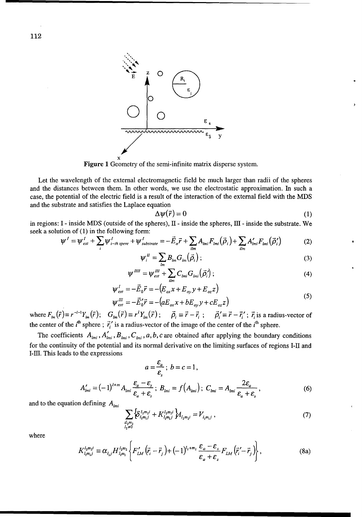

Figure 1 Geometry of the semi-infinite matrix disperse system.

Let the wavelength of the external electromagnetic field be much larger than radii of the spheres and the distances between them. In other words, we use the electrostatic approximation. In such a case, the potential of the electric field is a result of the interaction of the external field with the MDS and the substrate and satisfies the Laplace equation

$$
\Delta \psi(\vec{r}) = 0 \tag{1}
$$

in regions: I - inside MDS (outside of the spheres), II - inside the spheres, III - inside the substrate. We seek a solution of  $(1)$  in the following form:

$$
\psi' = \psi'_{ext} + \sum_{i} \psi'_{i-th\,spec} + \psi'_{substrate} = -\vec{E}_{o}\vec{r} + \sum_{ilm} A_{lmi}F_{lmi}(\vec{\rho}_{i}) + \sum_{ilm} A'_{lmi}F_{lmi}(\vec{\rho}_{i}')
$$
(2)

$$
\psi_i^{\,II} = \sum_{lm} B_{lm} G_{lm}(\vec{\rho}_i) \, ; \tag{3}
$$

$$
\psi^{III} = \psi_{ext}^{III} + \sum_{\text{lim}} C_{\text{1mi}} G_{\text{1mi}}(\vec{\rho}_i) ; \qquad (4)
$$

$$
\psi_{ext}^{I} = -\vec{E}_0 \vec{r} = -\left(E_{ox} x + E_{oy} y + E_{oz} z\right)
$$
  

$$
\psi_{ext}^{III} = -\vec{E}'_0 \vec{r} = -\left(aE_{ox} x + bE_{av} y + cE_{az} z\right)
$$
 (5)

 $\psi_{ext}^{\mu\nu} = -E'_0 \vec{r} = -(aE_{ox}x + bE_{oy}y + cE_{oz}z)$ <br>where  $F_{lm}(\vec{r}) \equiv r^{-l-1}Y_{lm}(\vec{r})$ ;  $G_{lm}(\vec{r}) \equiv r^lY_{lm}(\vec{r})$ ;  $\vec{\rho}_i \equiv \vec{r} - \vec{r}_i$ ;  $\vec{\rho}_i' \equiv \vec{r} - \vec{r}_i'$ ;  $\vec{r}_i$  is a radius-vector of<br>the center of the *i*<sup>th</sup> sphe

The coefficients  $A_{lmi}$ ,  $A'_{lmi}$ ,  $B_{lmi}$ ,  $C_{lmi}$ ,  $a, b, c$  are obtained after applying the boundary conditions for the continuity of the potential and its normal derivative on the limiting surfaces of regions I-II and I-III. This leads to the expressions

$$
a = \frac{\varepsilon_a}{\varepsilon_s}; \ b = c = 1,
$$
  

$$
A'_{lmi} = (-1)^{l+m} A_{lmi} \frac{\varepsilon_a - \varepsilon_s}{\varepsilon_a + \varepsilon_s}; \ B_{lmi} = f(A_{lmi}); \ C_{lmi} = A_{lmi} \frac{2\varepsilon_a}{\varepsilon_a + \varepsilon_s},
$$
(6)

and to the equation defining  $A_{lmi}$ 

$$
\sum_{\substack{i l_1 m_1 \\ l_2 \neq 0}} \left\{ \delta_{l_1 m_1 j}^{l_2 m_2 i} + K_{l_1 m_1 j}^{l_2 m_2 i} \right\} A_{l_2 m_2 i} = V_{l_1 m_1 j} , \qquad (7)
$$

where

$$
K_{l_1m_1j}^{l_2m_2i} \equiv \alpha_{l_1j} H_{l_1m_1}^{l_2m_2} \left\{ F'_{LM} (\vec{r}_i - \vec{r}_j) + (-1)^{l_2 + m_2} \frac{\varepsilon_a - \varepsilon_s}{\varepsilon_a + \varepsilon_s} F_{LM} (\vec{r}_i' - \vec{r}_j) \right\},
$$
(8a)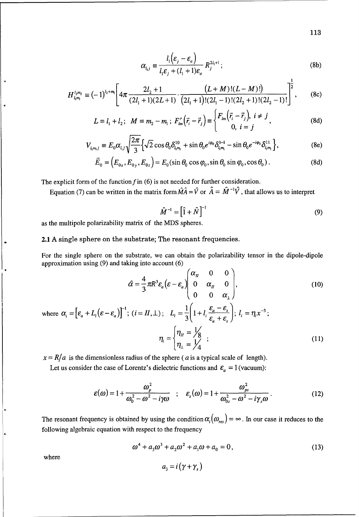$$
\alpha_{l_{1}j} \equiv \frac{l_{1}(\varepsilon_{j} - \varepsilon_{a})}{l_{1}\varepsilon_{j} + (l_{1} + 1)\varepsilon_{a}} R_{j}^{2l_{1}+1};
$$
\n(8b)

$$
H_{i,m_1}^{i_2m_2} \equiv (-1)^{i_2+m_1} \left[ 4\pi \frac{2l_2+1}{(2l_1+1)(2L+1)} \cdot \frac{(L+M)!(L-M)!)}{(2l_1+1)!(2l_1-1)!(2l_2+1)!(2l_2-1)!} \right]^{\frac{1}{2}},
$$
 (8c)

$$
L = l_1 + l_2; \quad M = m_2 - m_1; \ F'_{lm}(\vec{r}_i - \vec{r}_j) = \begin{cases} F_{lm}(\vec{r}_i - \vec{r}_j), & i \neq j \\ 0, & i = j \end{cases}
$$
 (8d)

$$
V_{l_{l_{l_{l}}m_{l}}}=E_{0}\alpha_{l_{l_{l}}j}\sqrt{\frac{2\pi}{3}}\Big\{\sqrt{2}\cos\theta_{0}\delta_{l_{l_{l}}m_{l}}^{10}+\sin\theta_{0}e^{i\phi_{0}}\delta_{l_{l_{l}}m_{l}}^{1-1}-\sin\theta_{0}e^{-i\phi_{0}}\delta_{l_{l}m_{l}}^{11}\Big\},\tag{8e}
$$

$$
\vec{E}_0 = (E_{0x}, E_{0y}, E_{0z}) = E_0(\sin \theta_0 \cos \varphi_0, \sin \theta_0 \sin \varphi_0, \cos \theta_0).
$$
 (8d)

The explicit form of the function  $f$  in (6) is not needed for further consideration.

Equation (7) can be written in the matrix form  $\hat{M}\hat{A} = \hat{V}$  or  $\hat{A} = \hat{M}^{-1}\hat{V}$ , that allows us to interpret

$$
\hat{M}^{-1} = \left[\hat{1} + \hat{N}\right]^{-1} \tag{9}
$$

as the multipole polarizability matrix of the MDS spheres.

### 2.1 A single sphere on the substrate; The resonant frequencies.

For the single sphere on the substrate, we can obtain the polarizability tensor in the dipole-dipole approximation using (9) and taking into account (6)

$$
\hat{\alpha} = \frac{4}{3}\pi R^3 \varepsilon_a \left( \varepsilon - \varepsilon_a \right) \begin{pmatrix} \alpha_H & 0 & 0 \\ 0 & \alpha_H & 0 \\ 0 & 0 & \alpha_\perp \end{pmatrix}, \tag{10}
$$

where 
$$
\alpha_i = [\varepsilon_a + L_i(\varepsilon - \varepsilon_a)]^{-1}
$$
;  $(i = H, \perp)$ ;  $L_i = \frac{1}{3} \left( 1 + l_i \frac{\varepsilon_a - \varepsilon_s}{\varepsilon_a + \varepsilon_s} \right)$ ;  $l_i = \eta_i x^{-3}$ ;  

$$
\eta_i = \begin{cases} \eta_{II} = \frac{1}{3} \\ \eta_{\perp} = \frac{1}{4} \end{cases}
$$
(11)

 $x = R/a$  is the dimensionless radius of the sphere (a is a typical scale of length).

Let us consider the case of Lorentz's dielectric functions and  $\varepsilon_a = 1$  (vacuum):

$$
\varepsilon(\omega) = 1 + \frac{\omega_p^2}{\omega_0^2 - \omega^2 - i\gamma\omega} \quad ; \quad \varepsilon_s(\omega) = 1 + \frac{\omega_{ps}^2}{\omega_{0s}^2 - \omega^2 - i\gamma_s\omega} \,. \tag{12}
$$

The resonant frequency is obtained by using the condition  $\alpha_i(\omega_{res}) = \infty$ . In our case it reduces to the following algebraic equation with respect to the frequency

> $\omega^4 + a_3 \omega^3 + a_2 \omega^2 + a_1 \omega + a_0 = 0$ ,  $(13)$  $\epsilon$

where

$$
a_{3}=i\left( \gamma+\gamma_{s}\,\right)
$$

113